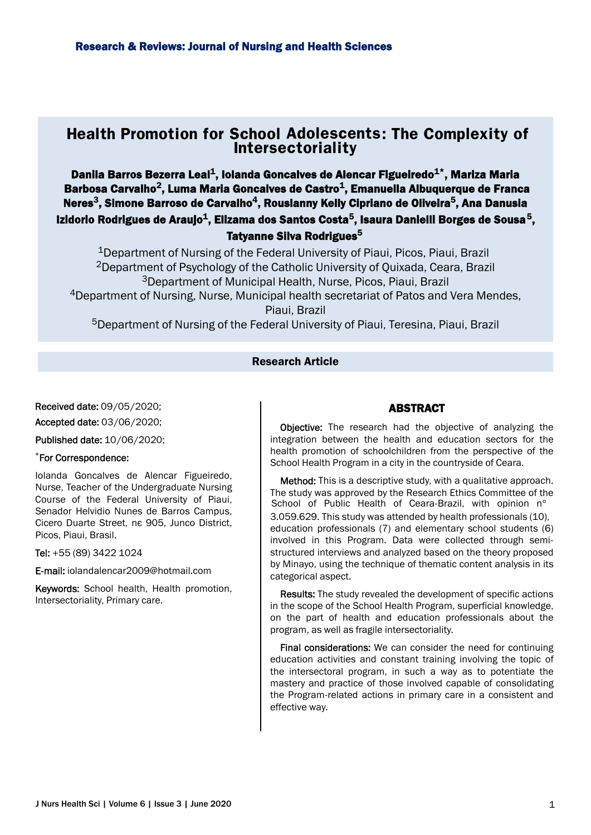# Health Promotion for School Adolescents: The Complexity of **Intersectoriality**

Danila Barros Bezerra Leal<sup>1</sup>, Iolanda Goncalves de Alencar Figueiredo<sup>1\*</sup>, Mariza Maria Barbosa Carvalho<sup>2</sup>, Luma Maria Goncalves de Castro<sup>1</sup>, Emanuella Albuquerque de Franca Neres<sup>3</sup>, Simone Barroso de Carvalho<sup>4</sup>, Rouslanny Kelly Cipriano de Oliveira<sup>5</sup>, Ana Danusla Izidorio Rodrigues de Araujo $^{\mathsf{1}}$ , Elizama dos Santos Costa $^{\mathsf{5}}$ , Isaura Danielli Borges de Sousa $^{\mathsf{5}},$ Tatyanne Silva Rodrigues<sup>5</sup>

<sup>1</sup>Department of Nursing of the Federal University of Piaui, Picos, Piaui, Brazil <sup>2</sup>Department of Psychology of the Catholic University of Quixada, Ceara, Brazil <sup>3</sup>Department of Municipal Health, Nurse, Picos, Piaui, Brazil <sup>4</sup>Department of Nursing, Nurse, Municipal health secretariat of Patos and Vera Mendes, Piaui, Brazil

<sup>5</sup>Department of Nursing of the Federal University of Piaui, Teresina, Piaui, Brazil

### Research Article

Received date: 09/05/2020;

Accepted date: 03/06/2020;

Published date: 10/06/2020;

### \*For Correspondence:

Iolanda Goncalves de Alencar Figueiredo, Nurse, Teacher of the Undergraduate Nursing Course of the Federal University of Piaui, Senador Helvidio Nunes de Barros Campus, Cicero Duarte Street, ne 905, Junco District, Picos, Piaui, Brasil.

Tel: +55 (89) 3422 1024

E-mail: iolandalencar2009@hotmail.com

Keywords: School health, Health promotion, Intersectoriality, Primary care.

### ABSTRACT

Objective: The research had the objective of analyzing the integration between the health and education sectors for the health promotion of schoolchildren from the perspective of the School Health Program in a city in the countryside of Ceara.

Method: This is a descriptive study, with a qualitative approach. The study was approved by the Research Ethics Committee of the 3.059.629. This study was attended by health professionals (10), education professionals (7) and elementary school students (6) involved in this Program. Data were collected through semistructured interviews and analyzed based on the theory proposed by Minayo, using the technique of thematic content analysis in its categorical aspect. School of Public Health of Ceara-Brazil, with opinion n°

Results: The study revealed the development of specific actions in the scope of the School Health Program, superficial knowledge, on the part of health and education professionals about the program, as well as fragile intersectoriality.

Final considerations: We can consider the need for continuing education activities and constant training involving the topic of the intersectoral program, in such a way as to potentiate the mastery and practice of those involved capable of consolidating the Program-related actions in primary care in a consistent and effective way.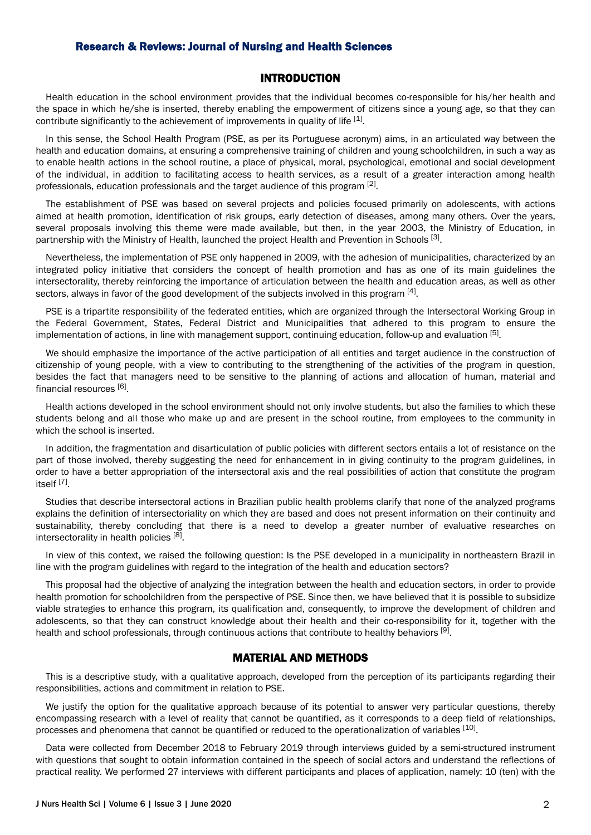### INTRODUCTION

Health education in the school environment provides that the individual becomes co-responsible for his/her health and the space in which he/she is inserted, thereby enabling the empowerment of citizens since a young age, so that they can contribute significantly to the achievement of improvements in quality of life  $^{[1]}$ .

In this sense, the School Health Program (PSE, as per its Portuguese acronym) aims, in an articulated way between the health and education domains, at ensuring a comprehensive training of children and young schoolchildren, in such a way as to enable health actions in the school routine, a place of physical, moral, psychological, emotional and social development of the individual, in addition to facilitating access to health services, as a result of a greater interaction among health professionals, education professionals and the target audience of this program <sup>[2]</sup>.

The establishment of PSE was based on several projects and policies focused primarily on adolescents, with actions aimed at health promotion, identification of risk groups, early detection of diseases, among many others. Over the years, several proposals involving this theme were made available, but then, in the year 2003, the Ministry of Education, in partnership with the Ministry of Health, launched the project Health and Prevention in Schools <sup>[3]</sup>.

Nevertheless, the implementation of PSE only happened in 2009, with the adhesion of municipalities, characterized by an integrated policy initiative that considers the concept of health promotion and has as one of its main guidelines the intersectorality, thereby reinforcing the importance of articulation between the health and education areas, as well as other sectors, always in favor of the good development of the subjects involved in this program  $^{[4]}$ .

PSE is a tripartite responsibility of the federated entities, which are organized through the Intersectoral Working Group in the Federal Government, States, Federal District and Municipalities that adhered to this program to ensure the implementation of actions, in line with management support, continuing education, follow-up and evaluation <sup>[5]</sup>.

We should emphasize the importance of the active participation of all entities and target audience in the construction of citizenship of young people, with a view to contributing to the strengthening of the activities of the program in question, besides the fact that managers need to be sensitive to the planning of actions and allocation of human, material and financial resources [6].

Health actions developed in the school environment should not only involve students, but also the families to which these students belong and all those who make up and are present in the school routine, from employees to the community in which the school is inserted.

In addition, the fragmentation and disarticulation of public policies with different sectors entails a lot of resistance on the part of those involved, thereby suggesting the need for enhancement in in giving continuity to the program guidelines, in order to have a better appropriation of the intersectoral axis and the real possibilities of action that constitute the program itself [7] .

Studies that describe intersectoral actions in Brazilian public health problems clarify that none of the analyzed programs explains the definition of intersectoriality on which they are based and does not present information on their continuity and sustainability, thereby concluding that there is a need to develop a greater number of evaluative researches on intersectorality in health policies [8].

In view of this context, we raised the following question: Is the PSE developed in a municipality in northeastern Brazil in line with the program guidelines with regard to the integration of the health and education sectors?

This proposal had the objective of analyzing the integration between the health and education sectors, in order to provide health promotion for schoolchildren from the perspective of PSE. Since then, we have believed that it is possible to subsidize viable strategies to enhance this program, its qualification and, consequently, to improve the development of children and adolescents, so that they can construct knowledge about their health and their co-responsibility for it, together with the health and school professionals, through continuous actions that contribute to healthy behaviors <sup>[9]</sup>.

### MATERIAL AND METHODS

This is a descriptive study, with a qualitative approach, developed from the perception of its participants regarding their responsibilities, actions and commitment in relation to PSE.

We justify the option for the qualitative approach because of its potential to answer very particular questions, thereby encompassing research with a level of reality that cannot be quantified, as it corresponds to a deep field of relationships, processes and phenomena that cannot be quantified or reduced to the operationalization of variables [10].

Data were collected from December 2018 to February 2019 through interviews guided by a semi-structured instrument with questions that sought to obtain information contained in the speech of social actors and understand the reflections of practical reality. We performed 27 interviews with different participants and places of application, namely: 10 (ten) with the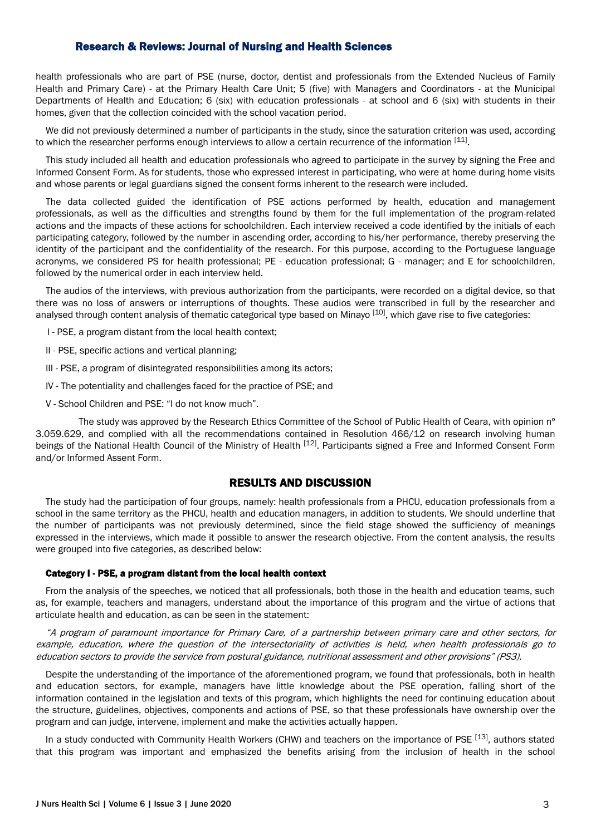health professionals who are part of PSE (nurse, doctor, dentist and professionals from the Extended Nucleus of Family Health and Primary Care) - at the Primary Health Care Unit; 5 (five) with Managers and Coordinators - at the Municipal Departments of Health and Education; 6 (six) with education professionals - at school and 6 (six) with students in their homes, given that the collection coincided with the school vacation period.

We did not previously determined a number of participants in the study, since the saturation criterion was used, according to which the researcher performs enough interviews to allow a certain recurrence of the information [11].

This study included all health and education professionals who agreed to participate in the survey by signing the Free and Informed Consent Form. As for students, those who expressed interest in participating, who were at home during home visits and whose parents or legal guardians signed the consent forms inherent to the research were included.

The data collected guided the identification of PSE actions performed by health, education and management professionals, as well as the difficulties and strengths found by them for the full implementation of the program-related actions and the impacts of these actions for schoolchildren. Each interview received a code identified by the initials of each participating category, followed by the number in ascending order, according to his/her performance, thereby preserving the identity of the participant and the confidentiality of the research. For this purpose, according to the Portuguese language acronyms, we considered PS for health professional; PE - education professional; G - manager; and E for schoolchildren, followed by the numerical order in each interview held.

The audios of the interviews, with previous authorization from the participants, were recorded on a digital device, so that there was no loss of answers or interruptions of thoughts. These audios were transcribed in full by the researcher and analysed through content analysis of thematic categorical type based on Minayo [10], which gave rise to five categories:

I - PSE, a program distant from the local health context;

II - PSE, specific actions and vertical planning;

III - PSE, a program of disintegrated responsibilities among its actors;

- IV The potentiality and challenges faced for the practice of PSE; and
- V School Children and PSE: "I do not know much".

The study was approved by the Research Ethics Committee of the School of Public Health of Ceara, with opinion n° 3.059.629, and complied with all the recommendations contained in Resolution 466/12 on research involving human beings of the National Health Council of the Ministry of Health [12]. Participants signed a Free and Informed Consent Form and/or Informed Assent Form.

# RESULTS AND DISCUSSION

The study had the participation of four groups, namely: health professionals from a PHCU, education professionals from a school in the same territory as the PHCU, health and education managers, in addition to students. We should underline that the number of participants was not previously determined, since the field stage showed the sufficiency of meanings expressed in the interviews, which made it possible to answer the research objective. From the content analysis, the results were grouped into five categories, as described below:

### Category I - PSE, a program distant from the local health context

From the analysis of the speeches, we noticed that all professionals, both those in the health and education teams, such as, for example, teachers and managers, understand about the importance of this program and the virtue of actions that articulate health and education, as can be seen in the statement:

"A program of paramount importance for Primary Care, of a partnership between primary care and other sectors, for example, education, where the question of the intersectoriality of activities is held, when health professionals go to education sectors to provide the service from postural guidance, nutritional assessment and other provisions" (PS3).

Despite the understanding of the importance of the aforementioned program, we found that professionals, both in health and education sectors, for example, managers have little knowledge about the PSE operation, falling short of the information contained in the legislation and texts of this program, which highlights the need for continuing education about the structure, guidelines, objectives, components and actions of PSE, so that these professionals have ownership over the program and can judge, intervene, implement and make the activities actually happen.

In a study conducted with Community Health Workers (CHW) and teachers on the importance of PSE [13], authors stated that this program was important and emphasized the benefits arising from the inclusion of health in the school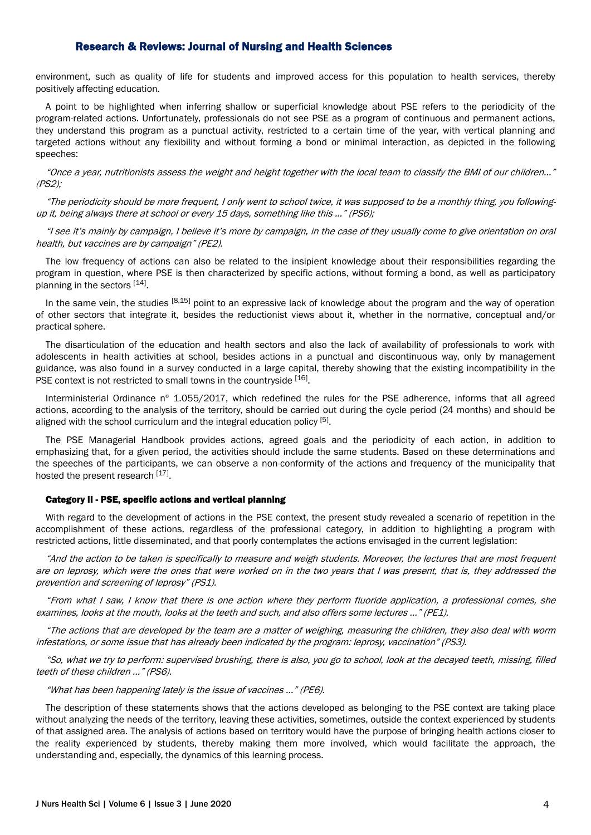environment, such as quality of life for students and improved access for this population to health services, thereby positively affecting education.

A point to be highlighted when inferring shallow or superficial knowledge about PSE refers to the periodicity of the program-related actions. Unfortunately, professionals do not see PSE as a program of continuous and permanent actions, they understand this program as a punctual activity, restricted to a certain time of the year, with vertical planning and targeted actions without any flexibility and without forming a bond or minimal interaction, as depicted in the following speeches:

"Once a year, nutritionists assess the weight and height together with the local team to classify the BMI of our children..." (PS2);

"The periodicity should be more frequent, I only went to school twice, it was supposed to be a monthly thing, you followingup it, being always there at school or every 15 days, something like this ..." (PS6);

"I see it's mainly by campaign, I believe it's more by campaign, in the case of they usually come to give orientation on oral health, but vaccines are by campaign" (PE2).

The low frequency of actions can also be related to the insipient knowledge about their responsibilities regarding the program in question, where PSE is then characterized by specific actions, without forming a bond, as well as participatory planning in the sectors [14].

In the same vein, the studies [8,15] point to an expressive lack of knowledge about the program and the way of operation of other sectors that integrate it, besides the reductionist views about it, whether in the normative, conceptual and/or practical sphere.

The disarticulation of the education and health sectors and also the lack of availability of professionals to work with adolescents in health activities at school, besides actions in a punctual and discontinuous way, only by management guidance, was also found in a survey conducted in a large capital, thereby showing that the existing incompatibility in the PSE context is not restricted to small towns in the countryside [16].

Interministerial Ordinance nº 1.055/2017, which redefined the rules for the PSE adherence, informs that all agreed actions, according to the analysis of the territory, should be carried out during the cycle period (24 months) and should be aligned with the school curriculum and the integral education policy <sup>[5]</sup>.

The PSE Managerial Handbook provides actions, agreed goals and the periodicity of each action, in addition to emphasizing that, for a given period, the activities should include the same students. Based on these determinations and the speeches of the participants, we can observe a non-conformity of the actions and frequency of the municipality that hosted the present research [17].

### Category II - PSE, specific actions and vertical planning

With regard to the development of actions in the PSE context, the present study revealed a scenario of repetition in the accomplishment of these actions, regardless of the professional category, in addition to highlighting a program with restricted actions, little disseminated, and that poorly contemplates the actions envisaged in the current legislation:

"And the action to be taken is specifically to measure and weigh students. Moreover, the lectures that are most frequent are on leprosy, which were the ones that were worked on in the two years that I was present, that is, they addressed the prevention and screening of leprosy" (PS1).

"From what I saw, I know that there is one action where they perform fluoride application, a professional comes, she examines, looks at the mouth, looks at the teeth and such, and also offers some lectures ..." (PE1).

"The actions that are developed by the team are a matter of weighing, measuring the children, they also deal with worm infestations, or some issue that has already been indicated by the program: leprosy, vaccination" (PS3).

"So, what we try to perform: supervised brushing, there is also, you go to school, look at the decayed teeth, missing, filled teeth of these children ..." (PS6).

"What has been happening lately is the issue of vaccines ..." (PE6).

The description of these statements shows that the actions developed as belonging to the PSE context are taking place without analyzing the needs of the territory, leaving these activities, sometimes, outside the context experienced by students of that assigned area. The analysis of actions based on territory would have the purpose of bringing health actions closer to the reality experienced by students, thereby making them more involved, which would facilitate the approach, the understanding and, especially, the dynamics of this learning process.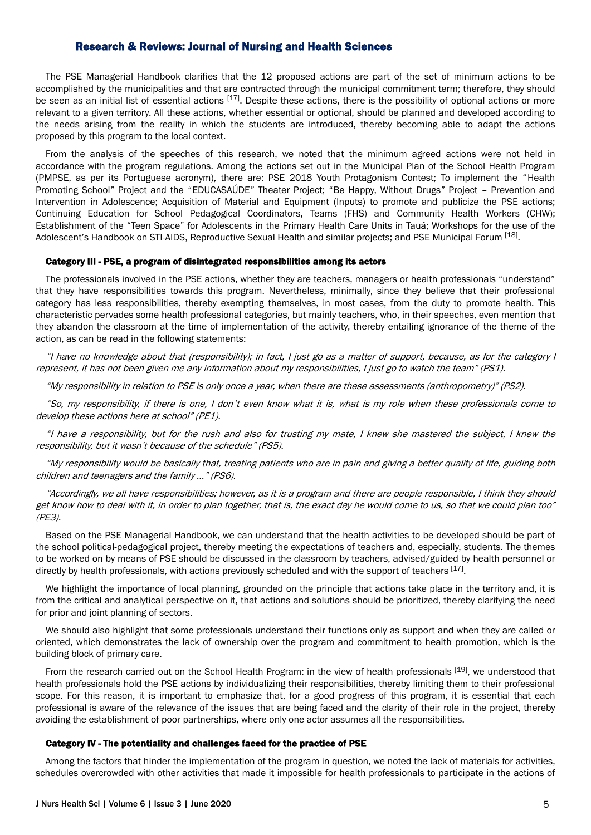The PSE Managerial Handbook clarifies that the 12 proposed actions are part of the set of minimum actions to be accomplished by the municipalities and that are contracted through the municipal commitment term; therefore, they should be seen as an initial list of essential actions [17]. Despite these actions, there is the possibility of optional actions or more relevant to a given territory. All these actions, whether essential or optional, should be planned and developed according to the needs arising from the reality in which the students are introduced, thereby becoming able to adapt the actions proposed by this program to the local context.

From the analysis of the speeches of this research, we noted that the minimum agreed actions were not held in accordance with the program regulations. Among the actions set out in the Municipal Plan of the School Health Program (PMPSE, as per its Portuguese acronym), there are: PSE 2018 Youth Protagonism Contest; To implement the "Health Promoting School" Project and the "EDUCASAÚDE" Theater Project; "Be Happy, Without Drugs" Project – Prevention and Intervention in Adolescence; Acquisition of Material and Equipment (Inputs) to promote and publicize the PSE actions; Continuing Education for School Pedagogical Coordinators, Teams (FHS) and Community Health Workers (CHW); Establishment of the "Teen Space" for Adolescents in the Primary Health Care Units in Tauá; Workshops for the use of the Adolescent's Handbook on STI-AIDS, Reproductive Sexual Health and similar projects; and PSE Municipal Forum [18].

#### Category III - PSE, a program of disintegrated responsibilities among its actors

The professionals involved in the PSE actions, whether they are teachers, managers or health professionals "understand" that they have responsibilities towards this program. Nevertheless, minimally, since they believe that their professional category has less responsibilities, thereby exempting themselves, in most cases, from the duty to promote health. This characteristic pervades some health professional categories, but mainly teachers, who, in their speeches, even mention that they abandon the classroom at the time of implementation of the activity, thereby entailing ignorance of the theme of the action, as can be read in the following statements:

"I have no knowledge about that (responsibility); in fact, I just go as a matter of support, because, as for the category I represent, it has not been given me any information about my responsibilities, I just go to watch the team" (PS1).

"My responsibility in relation to PSE is only once a year, when there are these assessments (anthropometry)" (PS2).

"So, my responsibility, if there is one, I don't even know what it is, what is my role when these professionals come to develop these actions here at school" (PE1).

"I have a responsibility, but for the rush and also for trusting my mate, I knew she mastered the subject, I knew the responsibility, but it wasn't because of the schedule" (PS5).

"My responsibility would be basically that, treating patients who are in pain and giving a better quality of life, guiding both children and teenagers and the family ..." (PS6).

"Accordingly, we all have responsibilities; however, as it is a program and there are people responsible, I think they should get know how to deal with it, in order to plan together, that is, the exact day he would come to us, so that we could plan too" (PE3).

Based on the PSE Managerial Handbook, we can understand that the health activities to be developed should be part of the school political-pedagogical project, thereby meeting the expectations of teachers and, especially, students. The themes to be worked on by means of PSE should be discussed in the classroom by teachers, advised/guided by health personnel or directly by health professionals, with actions previously scheduled and with the support of teachers [17].

We highlight the importance of local planning, grounded on the principle that actions take place in the territory and, it is from the critical and analytical perspective on it, that actions and solutions should be prioritized, thereby clarifying the need for prior and joint planning of sectors.

We should also highlight that some professionals understand their functions only as support and when they are called or oriented, which demonstrates the lack of ownership over the program and commitment to health promotion, which is the building block of primary care.

From the research carried out on the School Health Program: in the view of health professionals [19], we understood that health professionals hold the PSE actions by individualizing their responsibilities, thereby limiting them to their professional scope. For this reason, it is important to emphasize that, for a good progress of this program, it is essential that each professional is aware of the relevance of the issues that are being faced and the clarity of their role in the project, thereby avoiding the establishment of poor partnerships, where only one actor assumes all the responsibilities.

### Category IV - The potentiality and challenges faced for the practice of PSE

Among the factors that hinder the implementation of the program in question, we noted the lack of materials for activities, schedules overcrowded with other activities that made it impossible for health professionals to participate in the actions of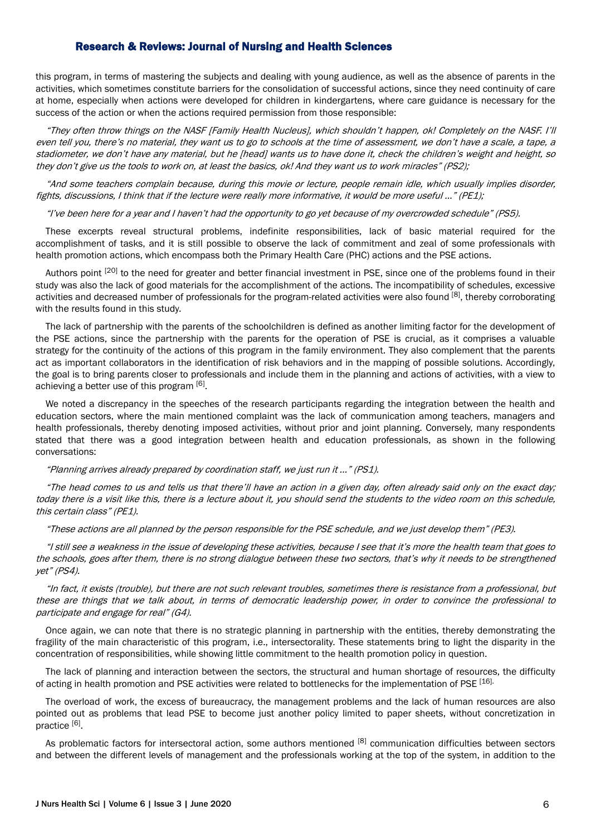this program, in terms of mastering the subjects and dealing with young audience, as well as the absence of parents in the activities, which sometimes constitute barriers for the consolidation of successful actions, since they need continuity of care at home, especially when actions were developed for children in kindergartens, where care guidance is necessary for the success of the action or when the actions required permission from those responsible:

"They often throw things on the NASF [Family Health Nucleus], which shouldn't happen, ok! Completely on the NASF. I'll even tell you, there's no material, they want us to go to schools at the time of assessment, we don't have a scale, a tape, a stadiometer, we don't have any material, but he [head] wants us to have done it, check the children's weight and height, so they don't give us the tools to work on, at least the basics, ok! And they want us to work miracles" (PS2);

"And some teachers complain because, during this movie or lecture, people remain idle, which usually implies disorder, fights, discussions, I think that if the lecture were really more informative, it would be more useful ..." (PE1);

#### "I've been here for a year and I haven't had the opportunity to go yet because of my overcrowded schedule" (PS5).

These excerpts reveal structural problems, indefinite responsibilities, lack of basic material required for the accomplishment of tasks, and it is still possible to observe the lack of commitment and zeal of some professionals with health promotion actions, which encompass both the Primary Health Care (PHC) actions and the PSE actions.

Authors point <sup>[20]</sup> to the need for greater and better financial investment in PSE, since one of the problems found in their study was also the lack of good materials for the accomplishment of the actions. The incompatibility of schedules, excessive activities and decreased number of professionals for the program-related activities were also found [8], thereby corroborating with the results found in this study.

The lack of partnership with the parents of the schoolchildren is defined as another limiting factor for the development of the PSE actions, since the partnership with the parents for the operation of PSE is crucial, as it comprises a valuable strategy for the continuity of the actions of this program in the family environment. They also complement that the parents act as important collaborators in the identification of risk behaviors and in the mapping of possible solutions. Accordingly, the goal is to bring parents closer to professionals and include them in the planning and actions of activities, with a view to achieving a better use of this program [6].

We noted a discrepancy in the speeches of the research participants regarding the integration between the health and education sectors, where the main mentioned complaint was the lack of communication among teachers, managers and health professionals, thereby denoting imposed activities, without prior and joint planning. Conversely, many respondents stated that there was a good integration between health and education professionals, as shown in the following conversations:

### "Planning arrives already prepared by coordination staff, we just run it ..." (PS1).

"The head comes to us and tells us that there'll have an action in a given day, often already said only on the exact day; today there is a visit like this, there is a lecture about it, you should send the students to the video room on this schedule, this certain class" (PE1).

"These actions are all planned by the person responsible for the PSE schedule, and we just develop them" (PE3).

"I still see a weakness in the issue of developing these activities, because I see that it's more the health team that goes to the schools, goes after them, there is no strong dialogue between these two sectors, that's why it needs to be strengthened yet" (PS4).

"In fact, it exists (trouble), but there are not such relevant troubles, sometimes there is resistance from a professional, but these are things that we talk about, in terms of democratic leadership power, in order to convince the professional to participate and engage for real" (G4).

Once again, we can note that there is no strategic planning in partnership with the entities, thereby demonstrating the fragility of the main characteristic of this program, i.e., intersectorality. These statements bring to light the disparity in the concentration of responsibilities, while showing little commitment to the health promotion policy in question.

The lack of planning and interaction between the sectors, the structural and human shortage of resources, the difficulty of acting in health promotion and PSE activities were related to bottlenecks for the implementation of PSE [16].

The overload of work, the excess of bureaucracy, the management problems and the lack of human resources are also pointed out as problems that lead PSE to become just another policy limited to paper sheets, without concretization in practice<sup>[6]</sup>.

As problematic factors for intersectoral action, some authors mentioned [8] communication difficulties between sectors and between the different levels of management and the professionals working at the top of the system, in addition to the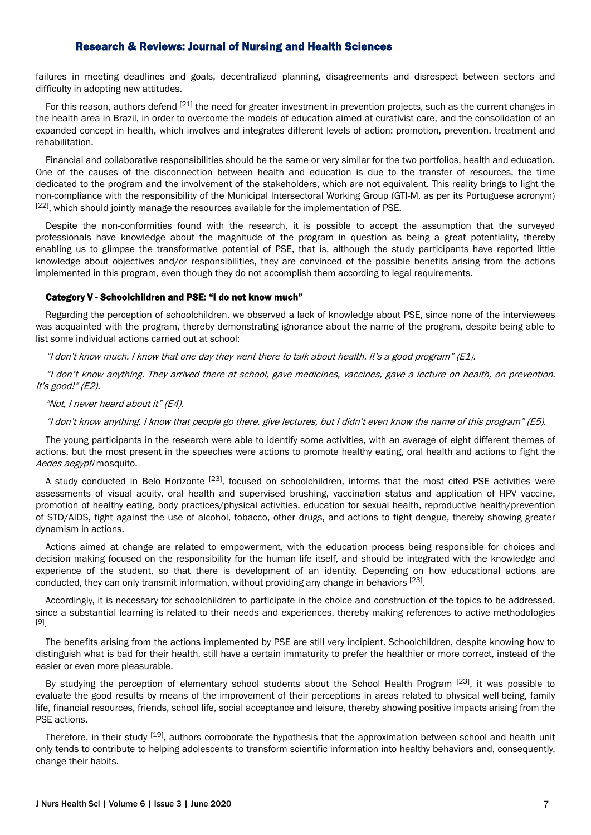failures in meeting deadlines and goals, decentralized planning, disagreements and disrespect between sectors and difficulty in adopting new attitudes.

For this reason, authors defend <sup>[21]</sup> the need for greater investment in prevention projects, such as the current changes in the health area in Brazil, in order to overcome the models of education aimed at curativist care, and the consolidation of an expanded concept in health, which involves and integrates different levels of action: promotion, prevention, treatment and rehabilitation.

Financial and collaborative responsibilities should be the same or very similar for the two portfolios, health and education. One of the causes of the disconnection between health and education is due to the transfer of resources, the time dedicated to the program and the involvement of the stakeholders, which are not equivalent. This reality brings to light the non-compliance with the responsibility of the Municipal Intersectoral Working Group (GTI-M, as per its Portuguese acronym) [22], which should jointly manage the resources available for the implementation of PSE.

Despite the non-conformities found with the research, it is possible to accept the assumption that the surveyed professionals have knowledge about the magnitude of the program in question as being a great potentiality, thereby enabling us to glimpse the transformative potential of PSE, that is, although the study participants have reported little knowledge about objectives and/or responsibilities, they are convinced of the possible benefits arising from the actions implemented in this program, even though they do not accomplish them according to legal requirements.

### Category V - Schoolchildren and PSE: "I do not know much"

Regarding the perception of schoolchildren, we observed a lack of knowledge about PSE, since none of the interviewees was acquainted with the program, thereby demonstrating ignorance about the name of the program, despite being able to list some individual actions carried out at school:

"I don't know much. I know that one day they went there to talk about health. It's a good program" (E1).

"I don't know anything. They arrived there at school, gave medicines, vaccines, gave a lecture on health, on prevention. It's good!" (E2).

### "Not, I never heard about it" (E4).

"I don't know anything, I know that people go there, give lectures, but I didn't even know the name of this program" (E5).

The young participants in the research were able to identify some activities, with an average of eight different themes of actions, but the most present in the speeches were actions to promote healthy eating, oral health and actions to fight the Aedes aegypti mosquito.

A study conducted in Belo Horizonte <sup>[23]</sup>, focused on schoolchildren, informs that the most cited PSE activities were assessments of visual acuity, oral health and supervised brushing, vaccination status and application of HPV vaccine, promotion of healthy eating, body practices/physical activities, education for sexual health, reproductive health/prevention of STD/AIDS, fight against the use of alcohol, tobacco, other drugs, and actions to fight dengue, thereby showing greater dynamism in actions.

Actions aimed at change are related to empowerment, with the education process being responsible for choices and decision making focused on the responsibility for the human life itself, and should be integrated with the knowledge and experience of the student, so that there is development of an identity. Depending on how educational actions are conducted, they can only transmit information, without providing any change in behaviors [23].

Accordingly, it is necessary for schoolchildren to participate in the choice and construction of the topics to be addressed, since a substantial learning is related to their needs and experiences, thereby making references to active methodologies [9] .

The benefits arising from the actions implemented by PSE are still very incipient. Schoolchildren, despite knowing how to distinguish what is bad for their health, still have a certain immaturity to prefer the healthier or more correct, instead of the easier or even more pleasurable.

By studying the perception of elementary school students about the School Health Program [23], it was possible to evaluate the good results by means of the improvement of their perceptions in areas related to physical well-being, family life, financial resources, friends, school life, social acceptance and leisure, thereby showing positive impacts arising from the PSE actions.

Therefore, in their study <sup>[19]</sup>, authors corroborate the hypothesis that the approximation between school and health unit only tends to contribute to helping adolescents to transform scientific information into healthy behaviors and, consequently, change their habits.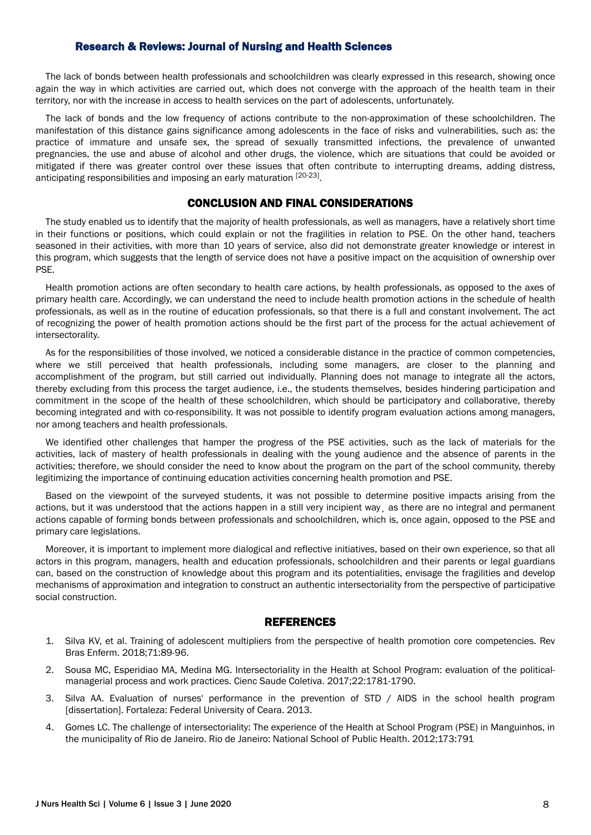The lack of bonds between health professionals and schoolchildren was clearly expressed in this research, showing once again the way in which activities are carried out, which does not converge with the approach of the health team in their territory, nor with the increase in access to health services on the part of adolescents, unfortunately.

The lack of bonds and the low frequency of actions contribute to the non-approximation of these schoolchildren. The manifestation of this distance gains significance among adolescents in the face of risks and vulnerabilities, such as: the practice of immature and unsafe sex, the spread of sexually transmitted infections, the prevalence of unwanted pregnancies, the use and abuse of alcohol and other drugs, the violence, which are situations that could be avoided or mitigated if there was greater control over these issues that often contribute to interrupting dreams, adding distress, anticipating responsibilities and imposing an early maturation [20-23].

# CONCLUSION AND FINAL CONSIDERATIONS

The study enabled us to identify that the majority of health professionals, as well as managers, have a relatively short time in their functions or positions, which could explain or not the fragilities in relation to PSE. On the other hand, teachers seasoned in their activities, with more than 10 years of service, also did not demonstrate greater knowledge or interest in this program, which suggests that the length of service does not have a positive impact on the acquisition of ownership over PSE.

Health promotion actions are often secondary to health care actions, by health professionals, as opposed to the axes of primary health care. Accordingly, we can understand the need to include health promotion actions in the schedule of health professionals, as well as in the routine of education professionals, so that there is a full and constant involvement. The act of recognizing the power of health promotion actions should be the first part of the process for the actual achievement of intersectorality.

As for the responsibilities of those involved, we noticed a considerable distance in the practice of common competencies, where we still perceived that health professionals, including some managers, are closer to the planning and accomplishment of the program, but still carried out individually. Planning does not manage to integrate all the actors, thereby excluding from this process the target audience, i.e., the students themselves, besides hindering participation and commitment in the scope of the health of these schoolchildren, which should be participatory and collaborative, thereby becoming integrated and with co-responsibility. It was not possible to identify program evaluation actions among managers, nor among teachers and health professionals.

We identified other challenges that hamper the progress of the PSE activities, such as the lack of materials for the activities, lack of mastery of health professionals in dealing with the young audience and the absence of parents in the activities; therefore, we should consider the need to know about the program on the part of the school community, thereby legitimizing the importance of continuing education activities concerning health promotion and PSE.

Based on the viewpoint of the surveyed students, it was not possible to determine positive impacts arising from the actions, but it was understood that the actions happen in a still very incipient way, as there are no integral and permanent actions capable of forming bonds between professionals and schoolchildren, which is, once again, opposed to the PSE and primary care legislations.

Moreover, it is important to implement more dialogical and reflective initiatives, based on their own experience, so that all actors in this program, managers, health and education professionals, schoolchildren and their parents or legal guardians can, based on the construction of knowledge about this program and its potentialities, envisage the fragilities and develop mechanisms of approximation and integration to construct an authentic intersectoriality from the perspective of participative social construction.

# REFERENCES

- 1. Silva KV, et al. Training of adolescent multipliers from the perspective of health promotion core competencies. Rev Bras Enferm. 2018;71:89-96.
- 2. Sousa MC, Esperidiao MA, Medina MG. Intersectoriality in the Health at School Program: evaluation of the politicalmanagerial process and work practices. Cienc Saude Coletiva. 2017;22:1781-1790.
- 3. Silva AA. Evaluation of nurses' performance in the prevention of STD / AIDS in the school health program [dissertation]. Fortaleza: Federal University of Ceara. 2013.
- 4. Gomes LC. The challenge of intersectoriality: The experience of the Health at School Program (PSE) in Manguinhos, in the municipality of Rio de Janeiro. Rio de Janeiro: National School of Public Health. 2012;173:791